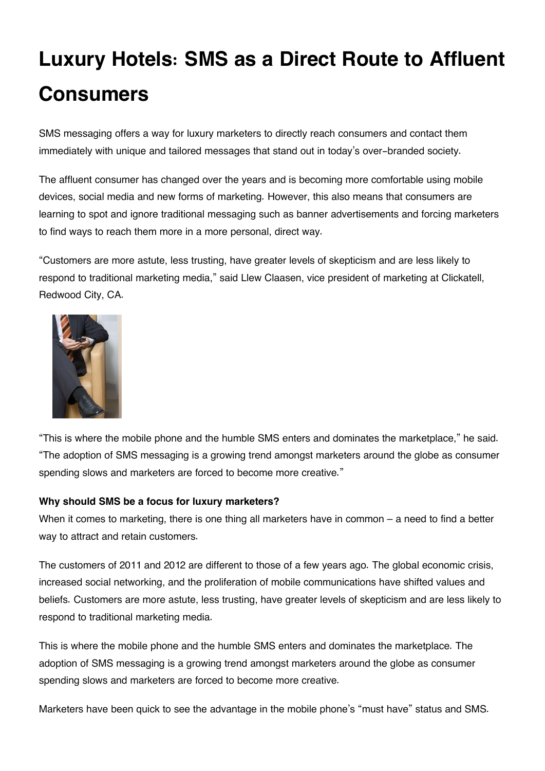# **Luxury Hotels: SMS as a Direct Route to Affluent Consumers**

SMS messaging offers a way for luxury marketers to directly reach consumers and contact them immediately with unique and tailored messages that stand out in today's over-branded society.

The affluent consumer has changed over the years and is becoming more comfortable using mobile devices, social media and new forms of marketing. However, this also means that consumers are learning to spot and ignore traditional messaging such as banner advertisements and forcing marketers to find ways to reach them more in a more personal, direct way.

"Customers are more astute, less trusting, have greater levels of skepticism and are less likely to respond to traditional marketing media," said Llew Claasen, vice president of marketing at Clickatell, Redwood City, CA.



"This is where the mobile phone and the humble SMS enters and dominates the marketplace," he said. "The adoption of SMS messaging is a growing trend amongst marketers around the globe as consumer spending slows and marketers are forced to become more creative."

# **Why should SMS be a focus for luxury marketers?**

When it comes to marketing, there is one thing all marketers have in common – a need to find a better way to attract and retain customers.

The customers of 2011 and 2012 are different to those of a few years ago. The global economic crisis, increased social networking, and the proliferation of mobile communications have shifted values and beliefs. Customers are more astute, less trusting, have greater levels of skepticism and are less likely to respond to traditional marketing media.

This is where the mobile phone and the humble SMS enters and dominates the marketplace. The adoption of SMS messaging is a growing trend amongst marketers around the globe as consumer spending slows and marketers are forced to become more creative.

Marketers have been quick to see the advantage in the mobile phone's "must have" status and SMS.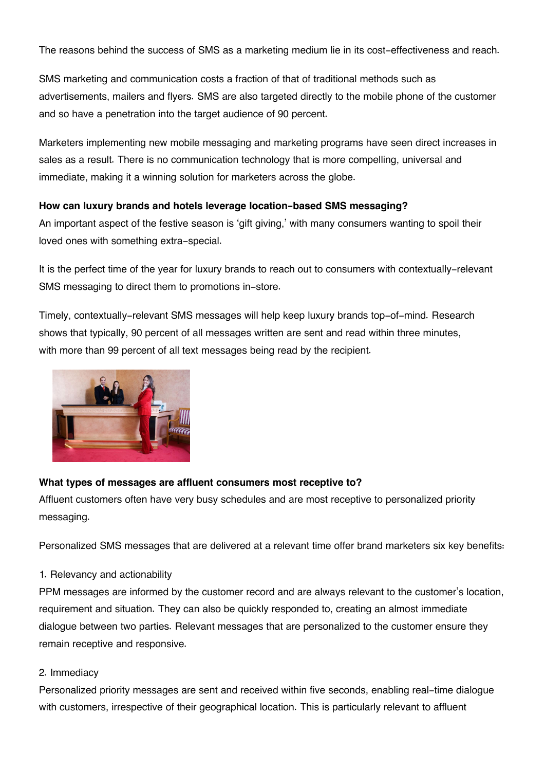The reasons behind the success of SMS as a marketing medium lie in its cost-effectiveness and reach.

SMS marketing and communication costs a fraction of that of traditional methods such as advertisements, mailers and flyers. SMS are also targeted directly to the mobile phone of the customer and so have a penetration into the target audience of 90 percent.

Marketers implementing new mobile messaging and marketing programs have seen direct increases in sales as a result. There is no communication technology that is more compelling, universal and immediate, making it a winning solution for marketers across the globe.

# **How can luxury brands and hotels leverage location-based SMS messaging?**

An important aspect of the festive season is 'gift giving,' with many consumers wanting to spoil their loved ones with something extra-special.

It is the perfect time of the year for luxury brands to reach out to consumers with contextually-relevant SMS messaging to direct them to promotions in-store.

Timely, contextually-relevant SMS messages will help keep luxury brands top-of-mind. Research shows that typically, 90 percent of all messages written are sent and read within three minutes, with more than 99 percent of all text messages being read by the recipient.



#### **What types of messages are affluent consumers most receptive to?**

Affluent customers often have very busy schedules and are most receptive to personalized priority messaging.

Personalized SMS messages that are delivered at a relevant time offer brand marketers six key benefits:

#### 1. Relevancy and actionability

PPM messages are informed by the customer record and are always relevant to the customer's location, requirement and situation. They can also be quickly responded to, creating an almost immediate dialogue between two parties. Relevant messages that are personalized to the customer ensure they remain receptive and responsive.

#### 2. Immediacy

Personalized priority messages are sent and received within five seconds, enabling real-time dialogue with customers, irrespective of their geographical location. This is particularly relevant to affluent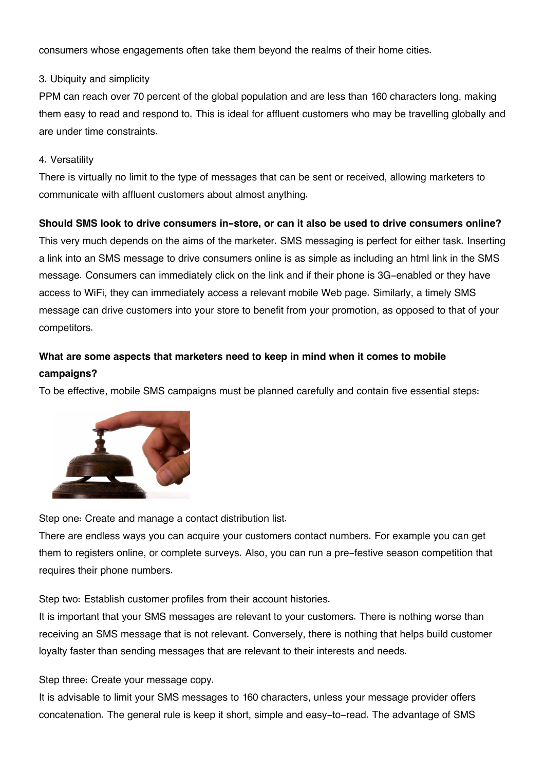consumers whose engagements often take them beyond the realms of their home cities.

#### 3. Ubiquity and simplicity

PPM can reach over 70 percent of the global population and are less than 160 characters long, making them easy to read and respond to. This is ideal for affluent customers who may be travelling globally and are under time constraints.

#### 4. Versatility

There is virtually no limit to the type of messages that can be sent or received, allowing marketers to communicate with affluent customers about almost anything.

# **Should SMS look to drive consumers in-store, or can it also be used to drive consumers online?**

This very much depends on the aims of the marketer. SMS messaging is perfect for either task. Inserting a link into an SMS message to drive consumers online is as simple as including an html link in the SMS message. Consumers can immediately click on the link and if their phone is 3G-enabled or they have access to WiFi, they can immediately access a relevant mobile Web page. Similarly, a timely SMS message can drive customers into your store to benefit from your promotion, as opposed to that of your competitors.

# **What are some aspects that marketers need to keep in mind when it comes to mobile campaigns?**

To be effective, mobile SMS campaigns must be planned carefully and contain five essential steps:



Step one: Create and manage a contact distribution list.

There are endless ways you can acquire your customers contact numbers. For example you can get them to registers online, or complete surveys. Also, you can run a pre-festive season competition that requires their phone numbers.

Step two: Establish customer profiles from their account histories.

It is important that your SMS messages are relevant to your customers. There is nothing worse than receiving an SMS message that is not relevant. Conversely, there is nothing that helps build customer loyalty faster than sending messages that are relevant to their interests and needs.

Step three: Create your message copy.

It is advisable to limit your SMS messages to 160 characters, unless your message provider offers concatenation. The general rule is keep it short, simple and easy-to-read. The advantage of SMS